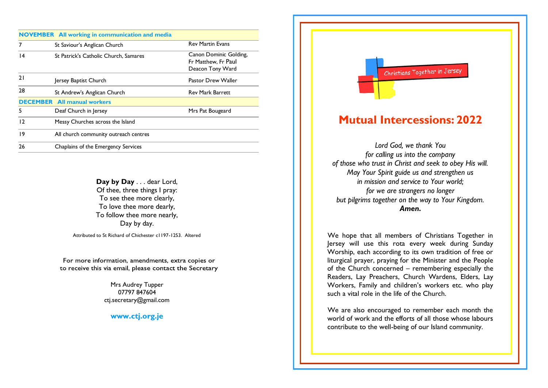|    | <b>NOVEMBER</b> All working in communication and media |                                                                   |
|----|--------------------------------------------------------|-------------------------------------------------------------------|
| 7  | St Saviour's Anglican Church                           | <b>Rev Martin Evans</b>                                           |
| 14 | St Patrick's Catholic Church, Samares                  | Canon Dominic Golding,<br>Fr Matthew. Fr Paul<br>Deacon Tony Ward |
| 21 | Jersey Baptist Church                                  | Pastor Drew Waller                                                |
| 28 | St Andrew's Anglican Church                            | <b>Rev Mark Barrett</b>                                           |
|    | <b>DECEMBER</b> All manual workers                     |                                                                   |
| 5  | Deaf Church in Jersey                                  | Mrs Pat Bougeard                                                  |
| 12 | Messy Churches across the Island                       |                                                                   |
| 19 | All church community outreach centres                  |                                                                   |
| 26 | Chaplains of the Emergency Services                    |                                                                   |
|    |                                                        |                                                                   |

Day by Day . . . dear Lord, Of thee, three things I pray: To see thee more clearly, To love thee more dearly, To follow thee more nearly, Day by day.

Attributed to St Richard of Chichester c1197-1253. Altered

For more information, amendments, extra copies or to receive this via email, please contact the Secretary

> Mrs Audrey Tupper 07797 847604 ctj.secretary@gmail.com

**www.ctj.org.je**

## Christians Together in Jersey

I

## **Mutual Intercessions: 2022**

*Lord God, we thank You for calling us into the company of those who trust in Christ and seek to obey His will. May Your Spirit guide us and strengthen us in mission and service to Your world; for we are strangers no longer but pilgrims together on the way to Your Kingdom. Amen.*

We hope that all members of Christians Together in Jersey will use this rota every week during Sunday Worship, each according to its own tradition of free or liturgical prayer, praying for the Minister and the People of the Church concerned – remembering especially the Readers, Lay Preachers, Church Wardens, Elders, Lay Workers, Family and children's workers etc. who play such a vital role in the life of the Church.

We are also encouraged to remember each month the world of work and the efforts of all those whose labours contribute to the well-being of our Island community.